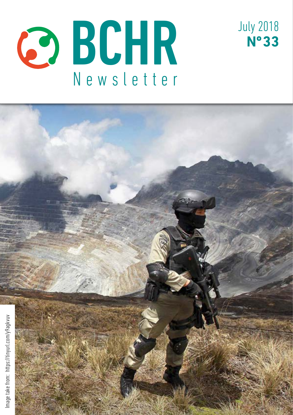



July 2018

**Nº 33**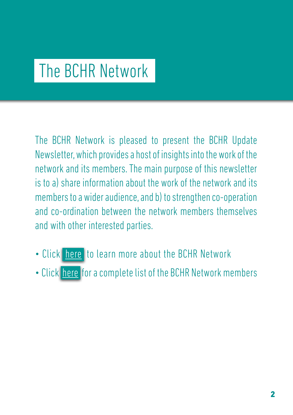# The BCHR Network

The BCHR Network is pleased to present the BCHR Update Newsletter, which provides a host of insights into the work of the network and its members. The main purpose of this newsletter is to a) share information about the work of the network and its members to a wider audience, and b) to strengthen co-operation and co-ordination between the network members themselves and with other interested parties.

- Click [here](http://www.networkbchr.org/) to learn more about the BCHR Network
- Click [here](http://www.networkbchr.org/#!join-the-network/c24vq) for a complete list of the BCHR Network members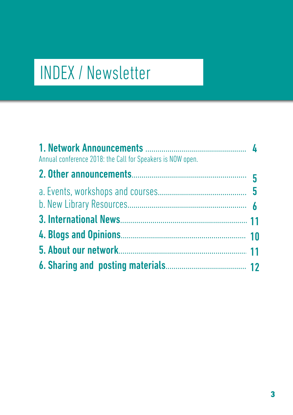# INDEX / Newsletter

| Annual conference 2018: the Call for Speakers is NOW open. |  |
|------------------------------------------------------------|--|
|                                                            |  |
|                                                            |  |
|                                                            |  |
|                                                            |  |
|                                                            |  |
|                                                            |  |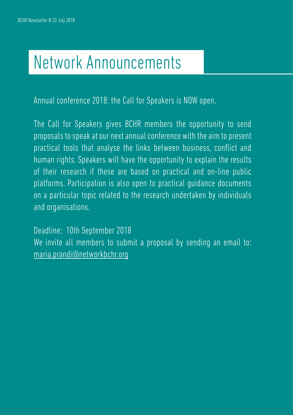# Network Announcements

Annual conference 2018: the Call for Speakers is NOW open.

The Call for Speakers gives BCHR members the opportunity to send proposals to speak at our next annual conference with the aim to present practical tools that analyse the links between business, conflict and human rights. Speakers will have the opportunity to explain the results of their research if these are based on practical and on-line public platforms. Participation is also open to practical guidance documents on a particular topic related to the research undertaken by individuals and organisations.

Deadline: 10th September 2018 We invite all members to submit a proposal by sending an email to: [maria.prandi@networkbchr.org](mailto:maria.prandi%40networkbchr.org?subject=)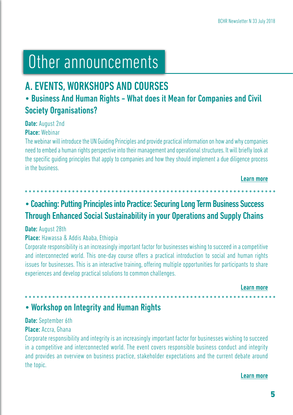# Other announcements

# A. EVENTS, WORKSHOPS AND COURSES

## • Business And Human Rights - What does it Mean for Companies and Civil Society Organisations?

Date: August 2nd

Place: Webinar

The webinar will introduce the UN Guiding Principles and provide practical information on how and why companies need to embed a human rights perspective into their management and operational structures. It will briefly look at the specific guiding principles that apply to companies and how they should implement a due diligence process in the business.

```
Learn more
```
## • Coaching: Putting Principles into Practice: Securing Long Term Business Success Through Enhanced Social Sustainability in your Operations and Supply Chains

### Date: August 28th

## Place: Hawassa & Addis Ababa, Ethiopia

Corporate responsibility is an increasingly important factor for businesses wishing to succeed in a competitive and interconnected world. This one-day course offers a practical introduction to social and human rights issues for businesses. This is an interactive training, offering multiple opportunities for participants to share experiences and develop practical solutions to common challenges.

[Learn more](https://tinyurl.com/y9jsz3y5)

## • Workshop on Integrity and Human Rights

## Date: September 6th

### Place: Accra, Ghana

Corporate responsibility and integrity is an increasingly important factor for businesses wishing to succeed in a competitive and interconnected world. The event covers responsible business conduct and integrity and provides an overview on business practice, stakeholder expectations and the current debate around the topic.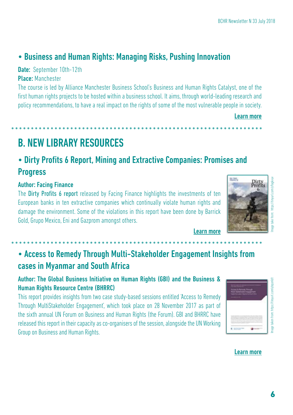# • Business and Human Rights: Managing Risks, Pushing Innovation

## Date: September 10th-12th

## Place: Manchester

The course is led by Alliance Manchester Business School's Business and Human Rights Catalyst, one of the first human rights projects to be hosted within a business school. It aims, through world-leading research and policy recommendations, to have a real impact on the rights of some of the most vulnerable people in society.

[Learn more](https://tinyurl.com/y8tm5o9z)

B. NEW LIBRARY RESOURCES

## • Dirty Profits 6 Report, Mining and Extractive Companies: Promises and Progress

## Author: Facing Finance

The Dirty Profits 6 report released by Facing Finance highlights the investments of ten European banks in ten extractive companies which continually violate human rights and damage the environment. Some of the violations in this report have been done by Barrick Gold, Grupo Mexico, Eni and Gazprom amongst others.



[Learn more](https://tinyurl.com/y9agkvuv )

## • Access to Remedy Through Multi-Stakeholder Engagement Insights from cases in Myanmar and South Africa

Author: The Global Business Initiative on Human Rights (GBI) and the Business & Human Rights Resource Centre (BHRRC)

This report provides insights from two case study-based sessions entitled 'Access to Remedy Through MultiStakeholder Engagement', which took place on 28 November 2017 as part of the sixth annual UN Forum on Business and Human Rights (the Forum). GBI and BHRRC have released this report in their capacity as co-organisers of the session, alongside the UN Working Group on Business and Human Rights.

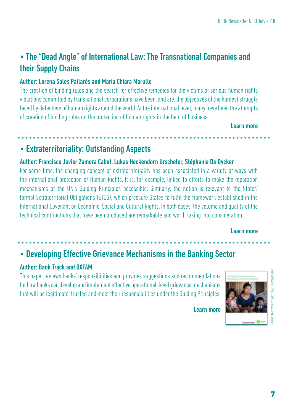## • The "Dead Angle" of International Law: The Transnational Companies and their Supply Chains

### Author: Lorena Sales Pallarés and Maria Chiara Marullo

The creation of binding rules and the search for effective remedies for the victims of serious human rights violations committed by transnational corporations have been, and are, the objectives of the hardest struggle faced by defenders of human rights around the world. At the international level, many have been the attempts of creation of binding rules on the protection of human rights in the field of business.

#### [Learn more](https://tinyurl.com/yb39m6vy)

## • Extraterritoriality: Outstanding Aspects

### Author: Francisco Javier Zamora Cabot, Lukas Heckendorn Urscheler, Stéphanie De Dycker

For some time, the changing concept of extraterritoriality has been associated in a variety of ways with the international protection of Human Rights. It is, for example, linked to efforts to make the reparation mechanisms of the UN's Guiding Principles accessible. Similarly, the notion is relevant to the States' formal Extraterritorial Obligations (ETOS), which pressure States to fulfil the framework established in the International Covenant on Economic, Social and Cultural Rights. In both cases, the volume and quality of the technical contributions that have been produced are remarkable and worth taking into consideration.

#### [Learn more](https://tinyurl.com/yb5an98h)

## • Developing Effective Grievance Mechanisms in the Banking Sector

### Author: Bank Track and OXFAM

This paper reviews banks' responsibilities and provides suggestions and recommendations for how banks can develop and implement effective operational-level grievance mechanisms that will be legitimate, trusted and meet their responsibilities under the Guiding Principles.

[Learn more](https://tinyurl.com/yd3aaep8)



Image taken from: https://tinyurl.com/yd3aaep8om: https://tinvurl.com/vd3aaep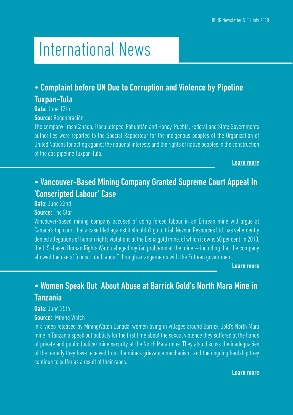# International News

## • Complaint before UN Due to Corruption and Violence by Pipeline Tuxpan-Tula

Date: June 13th

Source: Regeneración

The company TrasnCanada, Tlacuilotepec, Pahuatlán and Honey, Puebla, Federal and State Governments authorities were reported to the Special Rapporteur for the indigenous peoples of the Organization of United Nations for acting against the national interests and the rights of native peoples in the construction of the gas pipeline Tuxpan-Tula.

[Learn more](https://tinyurl.com/y9yh8j5o)

## • Vancouver-Based Mining Company Granted Supreme Court Appeal In 'Conscripted Labour' Case

Date: June 22nd

**Source: The Star** 

Vancouver-based mining company accused of using forced labour in an Eritrean mine will argue at Canada's top court that a case filed against it shouldn't go to trial. Nevsun Resources Ltd. has vehemently denied allegations of human rights violations at the Bisha gold mine, of which it owns 60 per cent. In 2013, the U.S.-based Human Rights Watch alleged myriad problems at the mine — including that the company allowed the use of "conscripted labour" through arrangements with the Eritrean government.

[Learn more](https://tinyurl.com/y7wmuju7)

## • Women Speak Out About Abuse at Barrick Gold's North Mara Mine in Tanzania

### Date: June 25th

#### **Source: Mining Watch**

In a video released by MiningWatch Canada, women living in villages around Barrick Gold's North Mara mine in Tanzania speak out publicly for the first time about the sexual violence they suffered at the hands of private and public (police) mine security at the North Mara mine. They also discuss the inadequacies of the remedy they have received from the mine's grievance mechanism, and the ongoing hardship they continue to suffer as a result of their rapes.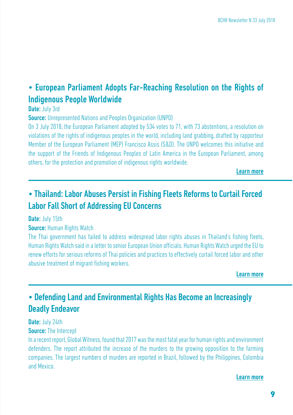## • European Parliament Adopts Far-Reaching Resolution on the Rights of Indigenous People Worldwide

Date: July 3rd

**Source:** Unrepresented Nations and Peoples Organization (UNPO)

On 3 July 2018, the European Parliament adopted by 534 votes to 71, with 73 abstentions, a resolution on violations of the rights of indigenous peoples in the world, including land grabbing, drafted by rapporteur Member of the European Parliament (MEP) Francisco Assis (S&D). The UNPO welcomes this initiative and the support of the Friends of Indigenous Peoples of Latin America in the European Parliament, among others, for the protection and promotion of indigenous rights worldwide.

[Learn more](http://unpo.org/article/20980)

## • Thailand: Labor Abuses Persist in Fishing Fleets Reforms to Curtail Forced Labor Fall Short of Addressing EU Concerns

Date: July 15th

### **Source: Human Rights Watch**

The Thai government has failed to address widespread labor rights abuses in Thailand's fishing fleets, Human Rights Watch said in a letter to senior European Union officials. Human Rights Watch urged the EU to renew efforts for serious reforms of Thai policies and practices to effectively curtail forced labor and other abusive treatment of migrant fishing workers.

[Learn more](https://tinyurl.com/y7yfl6cl)

## • Defending Land and Environmental Rights Has Become an Increasingly Deadly Endeavor

#### Date: July 24th **Source:** The Intercept

In a recent report, Global Witness, found that 2017 was the most fatal year for human rights and environment defenders. The report attributed the increase of the murders to the growing opposition to the farming companies. The largest numbers of murders are reported in Brazil, followed by the Philippines, Colombia and Mexico.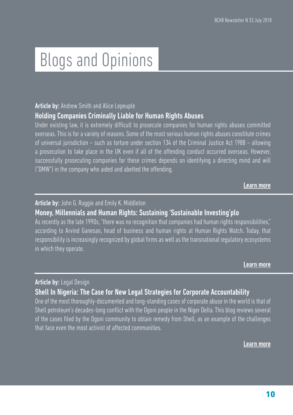# Blogs and Opinions

### **Article by:** Andrew Smith and Alice Lepeuple

## Holding Companies Criminally Liable for Human Rights Abuses

Under existing law, it is extremely difficult to prosecute companies for human rights abuses committed overseas. This is for a variety of reasons. Some of the most serious human rights abuses constitute crimes of universal jurisdiction – such as torture under section 134 of the Criminal Justice Act 1988 – allowing a prosecution to take place in the UK even if all of the offending conduct occurred overseas. However, successfully prosecuting companies for these crimes depends on identifying a directing mind and will ("DMW") in the company who aided and abetted the offending.

[Learn more](https://tinyurl.com/yb4rsqmt)

### Article by: John G. Ruggie and Emily K. Middleton

## Money, Millennials and Human Rights: Sustaining 'Sustainable Investing'plo

As recently as the late 1990s, "there was no recognition that companies had human rights responsibilities," according to Arvind Ganesan, head of business and human rights at Human Rights Watch. Today, that responsibility is increasingly recognized by global firms as well as the transnational regulatory ecosystems in which they operate.

[Learn more](https://tinyurl.com/y84bbxhw)

## Article by: Legal Design

## Shell In Nigeria: The Case for New Legal Strategies for Corporate Accountability

One of the most thoroughly-documented and long-standing cases of corporate abuse in the world is that of Shell petroleum's decades-long conflict with the Ogoni people in the Niger Delta. This blog reviews several of the cases filed by the Ogoni community to obtain remedy from Shell, as an example of the challenges that face even the most activist of affected communities.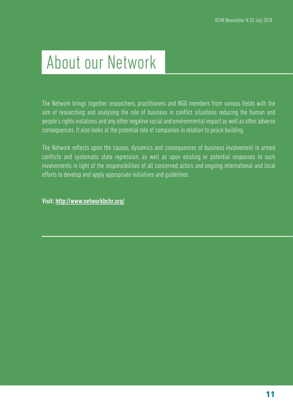# About our Network

The Network brings together researchers, practitioners and NGO members from various fields with the aim of researching and analysing the role of business in conflict situations reducing the human and people's rights violations and any other negative social and environmental impact as well as other adverse consequences. It also looks at the potential role of companies in relation to peace building.

The Network reflects upon the causes, dynamics and consequences of business involvement in armed conflicts and systematic state repression, as well as upon existing or potential responses to such involvements in light of the responsibilities of all concerned actors and ongoing international and local efforts to develop and apply appropriate initiatives and guidelines.

Visit: <http://www.networkbchr.org/>